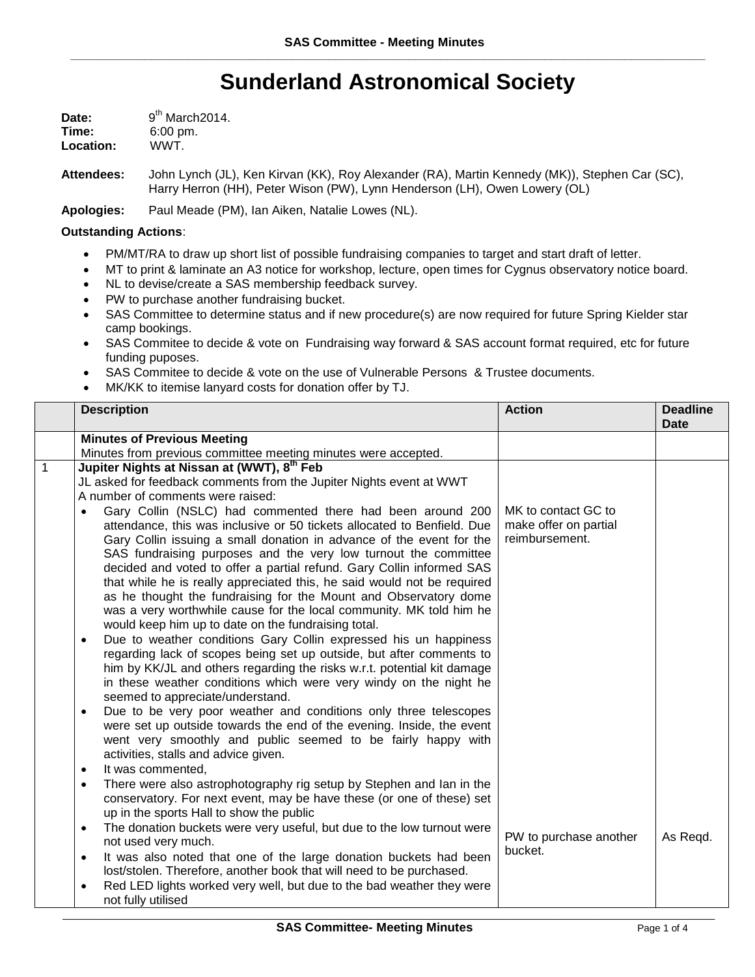## **Sunderland Astronomical Society**

| Date:     | 9 <sup>th</sup> March 2014. |
|-----------|-----------------------------|
| Time:     | $6:00 \text{ pm}$ .         |
| Location: | WWT.                        |

**Attendees:** John Lynch (JL), Ken Kirvan (KK), Roy Alexander (RA), Martin Kennedy (MK)), Stephen Car (SC), Harry Herron (HH), Peter Wison (PW), Lynn Henderson (LH), Owen Lowery (OL)

**Apologies:** Paul Meade (PM), Ian Aiken, Natalie Lowes (NL).

## **Outstanding Actions**:

- PM/MT/RA to draw up short list of possible fundraising companies to target and start draft of letter.
- MT to print & laminate an A3 notice for workshop, lecture, open times for Cygnus observatory notice board.
- NL to devise/create a SAS membership feedback survey.
- PW to purchase another fundraising bucket.
- SAS Committee to determine status and if new procedure(s) are now required for future Spring Kielder star camp bookings.
- SAS Commitee to decide & vote on Fundraising way forward & SAS account format required, etc for future funding puposes.
- SAS Commitee to decide & vote on the use of Vulnerable Persons & Trustee documents.
- MK/KK to itemise lanyard costs for donation offer by TJ.

|   | <b>Description</b>                                                                                                                                                                                                                                                                                                                                                                                                                                                                                                                                                                                                                                                                                                                                                                                                                                                                                                                                                                                                                                                                                                                                                                                                                                                                                                               | <b>Action</b>                                                  | <b>Deadline</b><br><b>Date</b> |
|---|----------------------------------------------------------------------------------------------------------------------------------------------------------------------------------------------------------------------------------------------------------------------------------------------------------------------------------------------------------------------------------------------------------------------------------------------------------------------------------------------------------------------------------------------------------------------------------------------------------------------------------------------------------------------------------------------------------------------------------------------------------------------------------------------------------------------------------------------------------------------------------------------------------------------------------------------------------------------------------------------------------------------------------------------------------------------------------------------------------------------------------------------------------------------------------------------------------------------------------------------------------------------------------------------------------------------------------|----------------------------------------------------------------|--------------------------------|
|   | <b>Minutes of Previous Meeting</b>                                                                                                                                                                                                                                                                                                                                                                                                                                                                                                                                                                                                                                                                                                                                                                                                                                                                                                                                                                                                                                                                                                                                                                                                                                                                                               |                                                                |                                |
|   | Minutes from previous committee meeting minutes were accepted.                                                                                                                                                                                                                                                                                                                                                                                                                                                                                                                                                                                                                                                                                                                                                                                                                                                                                                                                                                                                                                                                                                                                                                                                                                                                   |                                                                |                                |
| 1 | Jupiter Nights at Nissan at (WWT), 8 <sup>th</sup> Feb<br>JL asked for feedback comments from the Jupiter Nights event at WWT<br>A number of comments were raised:<br>Gary Collin (NSLC) had commented there had been around 200<br>$\bullet$<br>attendance, this was inclusive or 50 tickets allocated to Benfield. Due<br>Gary Collin issuing a small donation in advance of the event for the<br>SAS fundraising purposes and the very low turnout the committee<br>decided and voted to offer a partial refund. Gary Collin informed SAS<br>that while he is really appreciated this, he said would not be required<br>as he thought the fundraising for the Mount and Observatory dome<br>was a very worthwhile cause for the local community. MK told him he<br>would keep him up to date on the fundraising total.<br>Due to weather conditions Gary Collin expressed his un happiness<br>$\bullet$<br>regarding lack of scopes being set up outside, but after comments to<br>him by KK/JL and others regarding the risks w.r.t. potential kit damage<br>in these weather conditions which were very windy on the night he<br>seemed to appreciate/understand.<br>Due to be very poor weather and conditions only three telescopes<br>$\bullet$<br>were set up outside towards the end of the evening. Inside, the event | MK to contact GC to<br>make offer on partial<br>reimbursement. |                                |
|   | went very smoothly and public seemed to be fairly happy with<br>activities, stalls and advice given.                                                                                                                                                                                                                                                                                                                                                                                                                                                                                                                                                                                                                                                                                                                                                                                                                                                                                                                                                                                                                                                                                                                                                                                                                             |                                                                |                                |
|   | It was commented,<br>$\bullet$                                                                                                                                                                                                                                                                                                                                                                                                                                                                                                                                                                                                                                                                                                                                                                                                                                                                                                                                                                                                                                                                                                                                                                                                                                                                                                   |                                                                |                                |
|   | There were also astrophotography rig setup by Stephen and Ian in the<br>$\bullet$<br>conservatory. For next event, may be have these (or one of these) set<br>up in the sports Hall to show the public<br>The donation buckets were very useful, but due to the low turnout were<br>$\bullet$                                                                                                                                                                                                                                                                                                                                                                                                                                                                                                                                                                                                                                                                                                                                                                                                                                                                                                                                                                                                                                    |                                                                |                                |
|   | not used very much.                                                                                                                                                                                                                                                                                                                                                                                                                                                                                                                                                                                                                                                                                                                                                                                                                                                                                                                                                                                                                                                                                                                                                                                                                                                                                                              | PW to purchase another                                         | As Regd.                       |
|   | It was also noted that one of the large donation buckets had been<br>$\bullet$                                                                                                                                                                                                                                                                                                                                                                                                                                                                                                                                                                                                                                                                                                                                                                                                                                                                                                                                                                                                                                                                                                                                                                                                                                                   | bucket.                                                        |                                |
|   | lost/stolen. Therefore, another book that will need to be purchased.<br>Red LED lights worked very well, but due to the bad weather they were<br>$\bullet$<br>not fully utilised                                                                                                                                                                                                                                                                                                                                                                                                                                                                                                                                                                                                                                                                                                                                                                                                                                                                                                                                                                                                                                                                                                                                                 |                                                                |                                |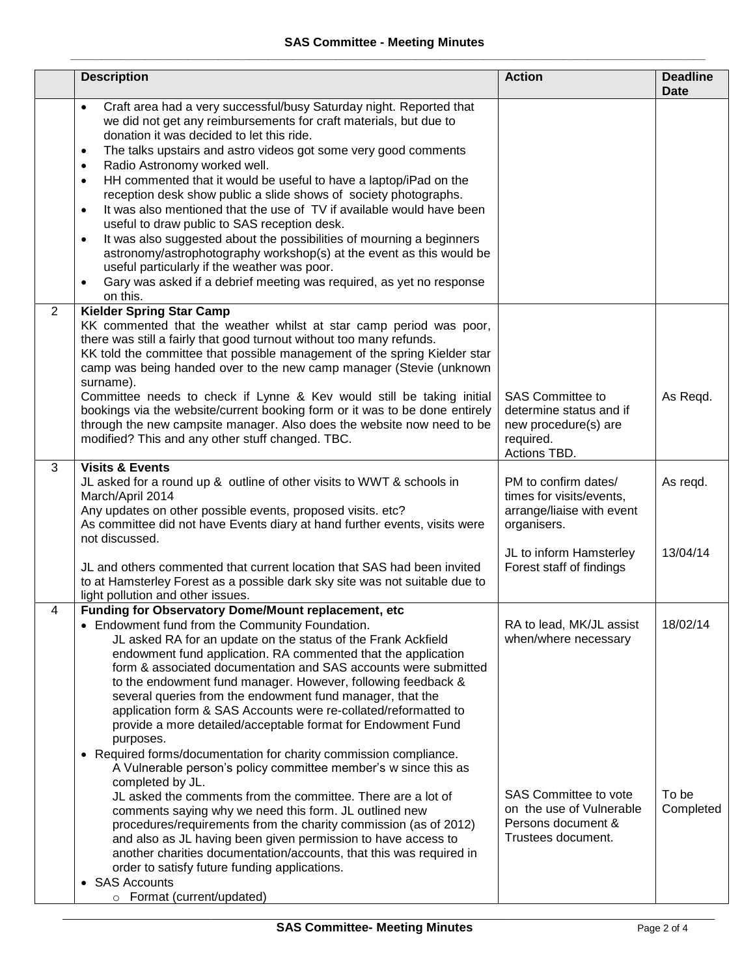|   | <b>Description</b>                                                                                                                                                                                                                                                                                                                                                                                                                                                                                                                                                                                                                                                                                                                                                                                                                                                                                                                         | <b>Action</b>                                                                                                                                       | <b>Deadline</b><br><b>Date</b> |
|---|--------------------------------------------------------------------------------------------------------------------------------------------------------------------------------------------------------------------------------------------------------------------------------------------------------------------------------------------------------------------------------------------------------------------------------------------------------------------------------------------------------------------------------------------------------------------------------------------------------------------------------------------------------------------------------------------------------------------------------------------------------------------------------------------------------------------------------------------------------------------------------------------------------------------------------------------|-----------------------------------------------------------------------------------------------------------------------------------------------------|--------------------------------|
|   | Craft area had a very successful/busy Saturday night. Reported that<br>$\bullet$<br>we did not get any reimbursements for craft materials, but due to<br>donation it was decided to let this ride.<br>The talks upstairs and astro videos got some very good comments<br>$\bullet$<br>Radio Astronomy worked well.<br>$\bullet$<br>HH commented that it would be useful to have a laptop/iPad on the<br>$\bullet$<br>reception desk show public a slide shows of society photographs.<br>It was also mentioned that the use of TV if available would have been<br>$\bullet$<br>useful to draw public to SAS reception desk.<br>It was also suggested about the possibilities of mourning a beginners<br>$\bullet$<br>astronomy/astrophotography workshop(s) at the event as this would be<br>useful particularly if the weather was poor.<br>Gary was asked if a debrief meeting was required, as yet no response<br>$\bullet$<br>on this. |                                                                                                                                                     |                                |
| 2 | <b>Kielder Spring Star Camp</b><br>KK commented that the weather whilst at star camp period was poor,<br>there was still a fairly that good turnout without too many refunds.<br>KK told the committee that possible management of the spring Kielder star<br>camp was being handed over to the new camp manager (Stevie (unknown<br>surname).<br>Committee needs to check if Lynne & Kev would still be taking initial<br>bookings via the website/current booking form or it was to be done entirely<br>through the new campsite manager. Also does the website now need to be<br>modified? This and any other stuff changed. TBC.                                                                                                                                                                                                                                                                                                       | <b>SAS Committee to</b><br>determine status and if<br>new procedure(s) are<br>required.<br>Actions TBD.                                             | As Regd.                       |
| 3 | <b>Visits &amp; Events</b><br>JL asked for a round up & outline of other visits to WWT & schools in<br>March/April 2014<br>Any updates on other possible events, proposed visits. etc?<br>As committee did not have Events diary at hand further events, visits were<br>not discussed.<br>JL and others commented that current location that SAS had been invited<br>to at Hamsterley Forest as a possible dark sky site was not suitable due to                                                                                                                                                                                                                                                                                                                                                                                                                                                                                           | PM to confirm dates/<br>times for visits/events,<br>arrange/liaise with event<br>organisers.<br>JL to inform Hamsterley<br>Forest staff of findings | As regd.<br>13/04/14           |
| 4 | light pollution and other issues.<br>Funding for Observatory Dome/Mount replacement, etc<br>• Endowment fund from the Community Foundation.<br>JL asked RA for an update on the status of the Frank Ackfield<br>endowment fund application. RA commented that the application<br>form & associated documentation and SAS accounts were submitted<br>to the endowment fund manager. However, following feedback &<br>several queries from the endowment fund manager, that the<br>application form & SAS Accounts were re-collated/reformatted to<br>provide a more detailed/acceptable format for Endowment Fund<br>purposes.<br>• Required forms/documentation for charity commission compliance.<br>A Vulnerable person's policy committee member's w since this as<br>completed by JL.                                                                                                                                                  | RA to lead, MK/JL assist<br>when/where necessary                                                                                                    | 18/02/14                       |
|   | JL asked the comments from the committee. There are a lot of<br>comments saying why we need this form. JL outlined new<br>procedures/requirements from the charity commission (as of 2012)<br>and also as JL having been given permission to have access to<br>another charities documentation/accounts, that this was required in<br>order to satisfy future funding applications.<br>• SAS Accounts<br>o Format (current/updated)                                                                                                                                                                                                                                                                                                                                                                                                                                                                                                        | SAS Committee to vote<br>on the use of Vulnerable<br>Persons document &<br>Trustees document.                                                       | To be<br>Completed             |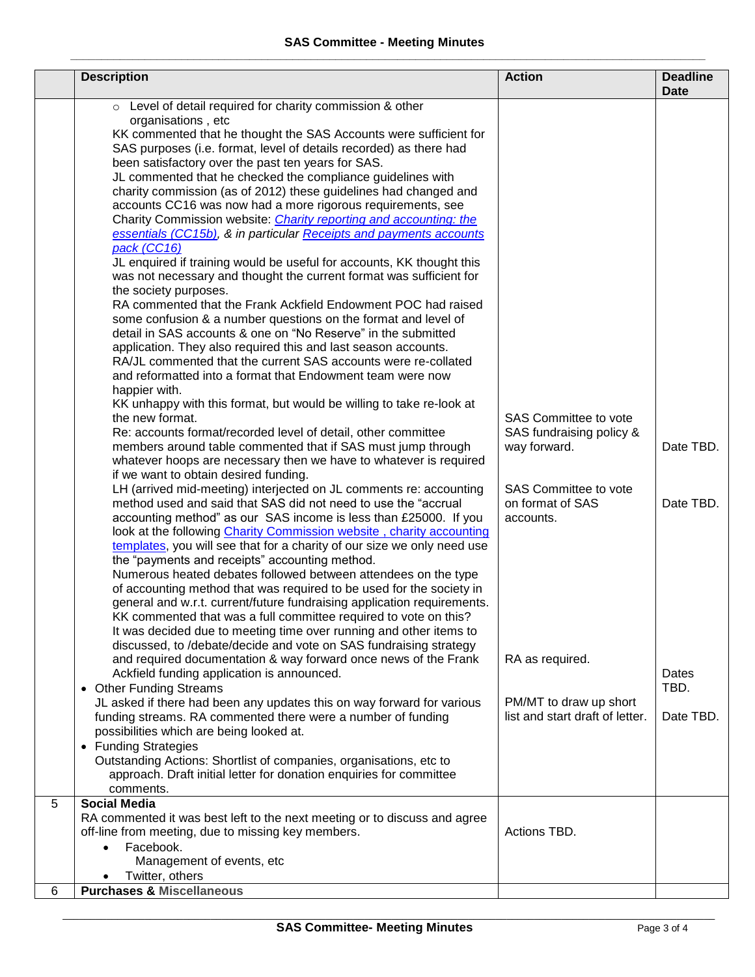|   | <b>Description</b>                                                                                                                                                                                                                                                                                                                                                                                                                                                                                                                                                                                                                                                                                                                                                                                                                                                                                                                                                                                                                                                                                                                                                                                                                                                                                                                                                                                                                                                                                                                                                                                                                                                                                                                                                                                                                                                                                                                                                                                                                                                                                                                                                                                                                                                                                                                                                                                                                                 | <b>Action</b>                                                                                                               | <b>Deadline</b>                       |
|---|----------------------------------------------------------------------------------------------------------------------------------------------------------------------------------------------------------------------------------------------------------------------------------------------------------------------------------------------------------------------------------------------------------------------------------------------------------------------------------------------------------------------------------------------------------------------------------------------------------------------------------------------------------------------------------------------------------------------------------------------------------------------------------------------------------------------------------------------------------------------------------------------------------------------------------------------------------------------------------------------------------------------------------------------------------------------------------------------------------------------------------------------------------------------------------------------------------------------------------------------------------------------------------------------------------------------------------------------------------------------------------------------------------------------------------------------------------------------------------------------------------------------------------------------------------------------------------------------------------------------------------------------------------------------------------------------------------------------------------------------------------------------------------------------------------------------------------------------------------------------------------------------------------------------------------------------------------------------------------------------------------------------------------------------------------------------------------------------------------------------------------------------------------------------------------------------------------------------------------------------------------------------------------------------------------------------------------------------------------------------------------------------------------------------------------------------------|-----------------------------------------------------------------------------------------------------------------------------|---------------------------------------|
|   | o Level of detail required for charity commission & other<br>organisations, etc<br>KK commented that he thought the SAS Accounts were sufficient for<br>SAS purposes (i.e. format, level of details recorded) as there had<br>been satisfactory over the past ten years for SAS.<br>JL commented that he checked the compliance guidelines with<br>charity commission (as of 2012) these guidelines had changed and<br>accounts CC16 was now had a more rigorous requirements, see<br>Charity Commission website: <i>Charity reporting and accounting: the</i><br>essentials (CC15b), & in particular Receipts and payments accounts<br>pack (CC16)<br>JL enquired if training would be useful for accounts, KK thought this<br>was not necessary and thought the current format was sufficient for<br>the society purposes.<br>RA commented that the Frank Ackfield Endowment POC had raised<br>some confusion & a number questions on the format and level of<br>detail in SAS accounts & one on "No Reserve" in the submitted<br>application. They also required this and last season accounts.<br>RA/JL commented that the current SAS accounts were re-collated<br>and reformatted into a format that Endowment team were now<br>happier with.<br>KK unhappy with this format, but would be willing to take re-look at<br>the new format.<br>Re: accounts format/recorded level of detail, other committee<br>members around table commented that if SAS must jump through<br>whatever hoops are necessary then we have to whatever is required<br>if we want to obtain desired funding.<br>LH (arrived mid-meeting) interjected on JL comments re: accounting<br>method used and said that SAS did not need to use the "accrual<br>accounting method" as our SAS income is less than £25000. If you<br>look at the following Charity Commission website, charity accounting<br>templates, you will see that for a charity of our size we only need use<br>the "payments and receipts" accounting method.<br>Numerous heated debates followed between attendees on the type<br>of accounting method that was required to be used for the society in<br>general and w.r.t. current/future fundraising application requirements.<br>KK commented that was a full committee required to vote on this?<br>It was decided due to meeting time over running and other items to<br>discussed, to /debate/decide and vote on SAS fundraising strategy | SAS Committee to vote<br>SAS fundraising policy &<br>way forward.<br>SAS Committee to vote<br>on format of SAS<br>accounts. | <b>Date</b><br>Date TBD.<br>Date TBD. |
|   | and required documentation & way forward once news of the Frank<br>Ackfield funding application is announced.<br>• Other Funding Streams                                                                                                                                                                                                                                                                                                                                                                                                                                                                                                                                                                                                                                                                                                                                                                                                                                                                                                                                                                                                                                                                                                                                                                                                                                                                                                                                                                                                                                                                                                                                                                                                                                                                                                                                                                                                                                                                                                                                                                                                                                                                                                                                                                                                                                                                                                           | RA as required.                                                                                                             | Dates<br>TBD.                         |
|   | JL asked if there had been any updates this on way forward for various<br>funding streams. RA commented there were a number of funding<br>possibilities which are being looked at.<br>• Funding Strategies                                                                                                                                                                                                                                                                                                                                                                                                                                                                                                                                                                                                                                                                                                                                                                                                                                                                                                                                                                                                                                                                                                                                                                                                                                                                                                                                                                                                                                                                                                                                                                                                                                                                                                                                                                                                                                                                                                                                                                                                                                                                                                                                                                                                                                         | PM/MT to draw up short<br>list and start draft of letter.                                                                   | Date TBD.                             |
|   | Outstanding Actions: Shortlist of companies, organisations, etc to<br>approach. Draft initial letter for donation enquiries for committee<br>comments.                                                                                                                                                                                                                                                                                                                                                                                                                                                                                                                                                                                                                                                                                                                                                                                                                                                                                                                                                                                                                                                                                                                                                                                                                                                                                                                                                                                                                                                                                                                                                                                                                                                                                                                                                                                                                                                                                                                                                                                                                                                                                                                                                                                                                                                                                             |                                                                                                                             |                                       |
| 5 | <b>Social Media</b><br>RA commented it was best left to the next meeting or to discuss and agree<br>off-line from meeting, due to missing key members.<br>Facebook.<br>Management of events, etc<br>Twitter, others                                                                                                                                                                                                                                                                                                                                                                                                                                                                                                                                                                                                                                                                                                                                                                                                                                                                                                                                                                                                                                                                                                                                                                                                                                                                                                                                                                                                                                                                                                                                                                                                                                                                                                                                                                                                                                                                                                                                                                                                                                                                                                                                                                                                                                | Actions TBD.                                                                                                                |                                       |
| 6 | <b>Purchases &amp; Miscellaneous</b>                                                                                                                                                                                                                                                                                                                                                                                                                                                                                                                                                                                                                                                                                                                                                                                                                                                                                                                                                                                                                                                                                                                                                                                                                                                                                                                                                                                                                                                                                                                                                                                                                                                                                                                                                                                                                                                                                                                                                                                                                                                                                                                                                                                                                                                                                                                                                                                                               |                                                                                                                             |                                       |